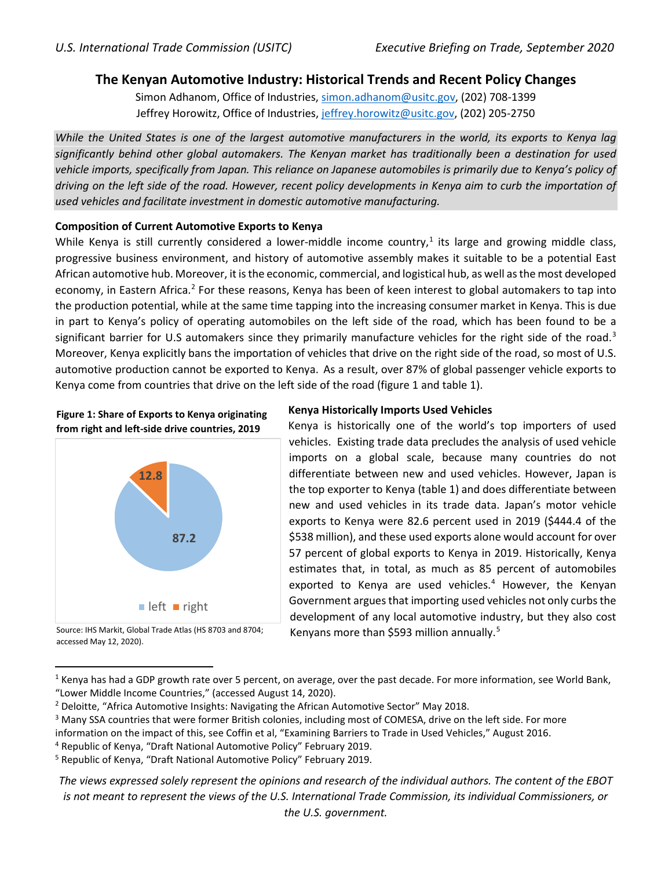# **The Kenyan Automotive Industry: Historical Trends and Recent Policy Changes**

Simon Adhanom, Office of Industries, [simon.adhanom@usitc.gov,](mailto:simon.adhanom@usitc.gov) (202) 708-1399 Jeffrey Horowitz, Office of Industries, [jeffrey.horowitz@usitc.gov,](mailto:Jeffrey.horowitz@usitc.gov) (202) 205-2750

*While the United States is one of the largest automotive manufacturers in the world, its exports to Kenya lag significantly behind other global automakers. The Kenyan market has traditionally been a destination for used vehicle imports, specifically from Japan. This reliance on Japanese automobiles is primarily due to Kenya's policy of driving on the left side of the road. However, recent policy developments in Kenya aim to curb the importation of used vehicles and facilitate investment in domestic automotive manufacturing.*

### **Composition of Current Automotive Exports to Kenya**

While Kenya is still currently considered a lower-middle income country,<sup>[1](#page-0-0)</sup> its large and growing middle class, progressive business environment, and history of automotive assembly makes it suitable to be a potential East African automotive hub. Moreover, it is the economic, commercial, and logistical hub, as well as the most developed economy, in Eastern Africa.<sup>[2](#page-0-1)</sup> For these reasons, Kenya has been of keen interest to global automakers to tap into the production potential, while at the same time tapping into the increasing consumer market in Kenya. This is due in part to Kenya's policy of operating automobiles on the left side of the road, which has been found to be a significant barrier for U.S automakers since they primarily manufacture vehicles for the right side of the road.<sup>[3](#page-0-2)</sup> Moreover, Kenya explicitly bans the importation of vehicles that drive on the right side of the road, so most of U.S. automotive production cannot be exported to Kenya. As a result, over 87% of global passenger vehicle exports to Kenya come from countries that drive on the left side of the road (figure 1 and table 1).





## **Kenya Historically Imports Used Vehicles**

Kenya is historically one of the world's top importers of used vehicles. Existing trade data precludes the analysis of used vehicle imports on a global scale, because many countries do not differentiate between new and used vehicles. However, Japan is the top exporter to Kenya (table 1) and does differentiate between new and used vehicles in its trade data. Japan's motor vehicle exports to Kenya were 82.6 percent used in 2019 (\$444.4 of the \$538 million), and these used exports alone would account for over 57 percent of global exports to Kenya in 2019. Historically, Kenya estimates that, in total, as much as 85 percent of automobiles exported to Kenya are used vehicles.<sup>[4](#page-0-3)</sup> However, the Kenyan Government argues that importing used vehicles not only curbs the development of any local automotive industry, but they also cost Kenyans more than \$[5](#page-0-4)93 million annually.<sup>5</sup>

*The views expressed solely represent the opinions and research of the individual authors. The content of the EBOT is not meant to represent the views of the U.S. International Trade Commission, its individual Commissioners, or the U.S. government.*

Source: IHS Markit, Global Trade Atlas (HS 8703 and 8704; accessed May 12, 2020).

<span id="page-0-0"></span> $1$  Kenya has had a GDP growth rate over 5 percent, on average, over the past decade. For more information, see World Bank, "Lower Middle Income Countries," (accessed August 14, 2020).

<span id="page-0-1"></span><sup>2</sup> Deloitte, "Africa Automotive Insights: Navigating the African Automotive Sector" May 2018.

<span id="page-0-2"></span><sup>&</sup>lt;sup>3</sup> Many SSA countries that were former British colonies, including most of COMESA, drive on the left side. For more

information on the impact of this, see Coffin et al, "Examining Barriers to Trade in Used Vehicles," August 2016.

<span id="page-0-3"></span><sup>4</sup> Republic of Kenya, "Draft National Automotive Policy" February 2019.

<span id="page-0-4"></span><sup>5</sup> Republic of Kenya, "Draft National Automotive Policy" February 2019.